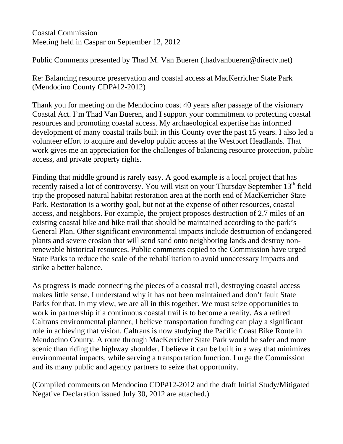Coastal Commission Meeting held in Caspar on September 12, 2012

Public Comments presented by Thad M. Van Bueren (thadvanbueren@directv.net)

Re: Balancing resource preservation and coastal access at MacKerricher State Park (Mendocino County CDP#12-2012)

Thank you for meeting on the Mendocino coast 40 years after passage of the visionary Coastal Act. I'm Thad Van Bueren, and I support your commitment to protecting coastal resources and promoting coastal access. My archaeological expertise has informed development of many coastal trails built in this County over the past 15 years. I also led a volunteer effort to acquire and develop public access at the Westport Headlands. That work gives me an appreciation for the challenges of balancing resource protection, public access, and private property rights.

Finding that middle ground is rarely easy. A good example is a local project that has recently raised a lot of controversy. You will visit on your Thursday September  $13<sup>th</sup>$  field trip the proposed natural habitat restoration area at the north end of MacKerricher State Park. Restoration is a worthy goal, but not at the expense of other resources, coastal access, and neighbors. For example, the project proposes destruction of 2.7 miles of an existing coastal bike and hike trail that should be maintained according to the park's General Plan. Other significant environmental impacts include destruction of endangered plants and severe erosion that will send sand onto neighboring lands and destroy nonrenewable historical resources. Public comments copied to the Commission have urged State Parks to reduce the scale of the rehabilitation to avoid unnecessary impacts and strike a better balance.

As progress is made connecting the pieces of a coastal trail, destroying coastal access makes little sense. I understand why it has not been maintained and don't fault State Parks for that. In my view, we are all in this together. We must seize opportunities to work in partnership if a continuous coastal trail is to become a reality. As a retired Caltrans environmental planner, I believe transportation funding can play a significant role in achieving that vision. Caltrans is now studying the Pacific Coast Bike Route in Mendocino County. A route through MacKerricher State Park would be safer and more scenic than riding the highway shoulder. I believe it can be built in a way that minimizes environmental impacts, while serving a transportation function. I urge the Commission and its many public and agency partners to seize that opportunity.

(Compiled comments on Mendocino CDP#12-2012 and the draft Initial Study/Mitigated Negative Declaration issued July 30, 2012 are attached.)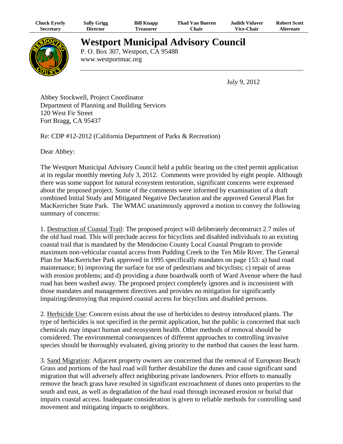| Chuck Eyerly | <b>Sally Grigg</b> | <b>Bill Knapp</b> | <b>Thad Van Bueren</b> | <b>Judith Vidaver</b> | <b>Robert Scott</b> |
|--------------|--------------------|-------------------|------------------------|-----------------------|---------------------|
| Secretary    | Director           | l`reasurer        | ⊂hair                  | <b>Vice-Chair</b>     | <b>Alternate</b>    |



# **Westport Municipal Advisory Council**

P. O. Box 307, Westport, CA 95488 www.westportmac.org

July 9, 2012

Abbey Stockwell, Project Coordinator Department of Planning and Building Services 120 West Fir Street Fort Bragg, CA 95437

Re: CDP #12-2012 (California Department of Parks & Recreation)

Dear Abbey:

The Westport Municipal Advisory Council held a public hearing on the cited permit application at its regular monthly meeting July 3, 2012. Comments were provided by eight people. Although there was some support for natural ecosystem restoration, significant concerns were expressed about the proposed project. Some of the comments were informed by examination of a draft combined Initial Study and Mitigated Negative Declaration and the approved General Plan for MacKerricher State Park. The WMAC unanimously approved a motion to convey the following summary of concerns:

1. Destruction of Coastal Trail: The proposed project will deliberately deconstruct 2.7 miles of the old haul road. This will preclude access for bicyclists and disabled individuals to an existing coastal trail that is mandated by the Mendocino County Local Coastal Program to provide maximum non-vehicular coastal access from Pudding Creek to the Ten Mile River. The General Plan for MacKerricher Park approved in 1995 specifically mandates on page 153: a) haul road maintenance; b) improving the surface for use of pedestrians and bicyclists; c) repair of areas with erosion problems; and d) providing a dune boardwalk north of Ward Avenue where the haul road has been washed away. The proposed project completely ignores and is inconsistent with those mandates and management directives and provides no mitigation for significantly impairing/destroying that required coastal access for bicyclists and disabled persons.

2. Herbicide Use: Concern exists about the use of herbicides to destroy introduced plants. The type of herbicides is not specified in the permit application, but the public is concerned that such chemicals may impact human and ecosystem health. Other methods of removal should be considered. The environmental consequences of different approaches to controlling invasive species should be thoroughly evaluated, giving priority to the method that causes the least harm.

3. Sand Migration: Adjacent property owners are concerned that the removal of European Beach Grass and portions of the haul road will further destabilize the dunes and cause significant sand migration that will adversely affect neighboring private landowners. Prior efforts to manually remove the beach grass have resulted in significant encroachment of dunes onto properties to the south and east, as well as degradation of the haul road through increased erosion or burial that impairs coastal access. Inadequate consideration is given to reliable methods for controlling sand movement and mitigating impacts to neighbors.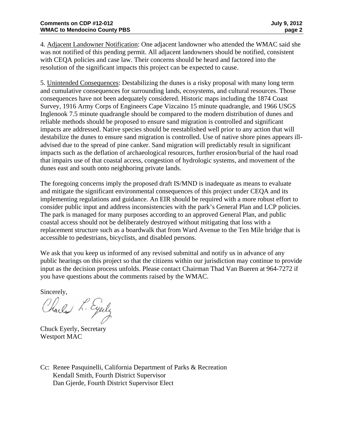4. Adjacent Landowner Notification: One adjacent landowner who attended the WMAC said she was not notified of this pending permit. All adjacent landowners should be notified, consistent with CEQA policies and case law. Their concerns should be heard and factored into the resolution of the significant impacts this project can be expected to cause.

5. Unintended Consequences: Destabilizing the dunes is a risky proposal with many long term and cumulative consequences for surrounding lands, ecosystems, and cultural resources. Those consequences have not been adequately considered. Historic maps including the 1874 Coast Survey, 1916 Army Corps of Engineers Cape Vizcaino 15 minute quadrangle, and 1966 USGS Inglenook 7.5 minute quadrangle should be compared to the modern distribution of dunes and reliable methods should be proposed to ensure sand migration is controlled and significant impacts are addressed. Native species should be reestablished well prior to any action that will destabilize the dunes to ensure sand migration is controlled. Use of native shore pines appears illadvised due to the spread of pine canker. Sand migration will predictably result in significant impacts such as the deflation of archaeological resources, further erosion/burial of the haul road that impairs use of that coastal access, congestion of hydrologic systems, and movement of the dunes east and south onto neighboring private lands.

The foregoing concerns imply the proposed draft IS/MND is inadequate as means to evaluate and mitigate the significant environmental consequences of this project under CEQA and its implementing regulations and guidance. An EIR should be required with a more robust effort to consider public input and address inconsistencies with the park's General Plan and LCP policies. The park is managed for many purposes according to an approved General Plan, and public coastal access should not be deliberately destroyed without mitigating that loss with a replacement structure such as a boardwalk that from Ward Avenue to the Ten Mile bridge that is accessible to pedestrians, bicyclists, and disabled persons.

We ask that you keep us informed of any revised submittal and notify us in advance of any public hearings on this project so that the citizens within our jurisdiction may continue to provide input as the decision process unfolds. Please contact Chairman Thad Van Bueren at 964-7272 if you have questions about the comments raised by the WMAC.

Sincerely,

Charles L. Eyerly

Chuck Eyerly, Secretary Westport MAC

Cc: Renee Pasquinelli, California Department of Parks & Recreation Kendall Smith, Fourth District Supervisor Dan Gjerde, Fourth District Supervisor Elect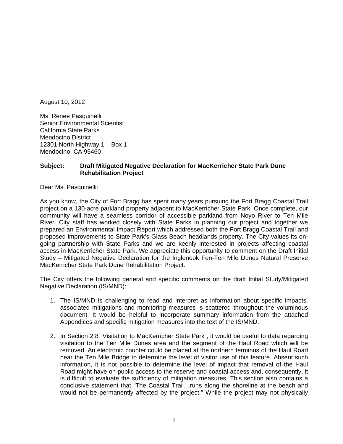August 10, 2012

Ms. Renee Pasquinelli Senior Environmental Scientist California State Parks Mendocino District 12301 North Highway 1 – Box 1 Mendocino, CA 95460

# **Subject: Draft Mitigated Negative Declaration for MacKerricher State Park Dune Rehabilitation Project**

Dear Ms. Pasquinelli:

As you know, the City of Fort Bragg has spent many years pursuing the Fort Bragg Coastal Trail project on a 130-acre parkland property adjacent to MacKerricher State Park. Once complete, our community will have a seamless corridor of accessible parkland from Noyo River to Ten Mile River. City staff has worked closely with State Parks in planning our project and together we prepared an Environmental Impact Report which addressed both the Fort Bragg Coastal Trail and proposed improvements to State Park's Glass Beach headlands property. The City values its ongoing partnership with State Parks and we are keenly interested in projects affecting coastal access in MacKerricher State Park. We appreciate this opportunity to comment on the Draft Initial Study – Mitigated Negative Declaration for the Inglenook Fen-Ten Mile Dunes Natural Preserve MacKerricher State Park Dune Rehabilitation Project.

The City offers the following general and specific comments on the draft Initial Study/Mitigated Negative Declaration (IS/MND):

- 1. The IS/MND is challenging to read and interpret as information about specific impacts, associated mitigations and monitoring measures is scattered throughout the voluminous document. It would be helpful to incorporate summary information from the attached Appendices and specific mitigation measures into the text of the IS/MND.
- 2. In Section 2.8 "Visitation to MacKerricher State Park", it would be useful to data regarding visitation to the Ten Mile Dunes area and the segment of the Haul Road which will be removed. An electronic counter could be placed at the northern terminus of the Haul Road near the Ten Mile Bridge to determine the level of visitor use of this feature. Absent such information, it is not possible to determine the level of impact that removal of the Haul Road might have on public access to the reserve and coastal access and, consequently, it is difficult to evaluate the sufficiency of mitigation measures. This section also contains a conclusive statement that "The Coastal Trail…runs along the shoreline at the beach and would not be permanently affected by the project." While the project may not physically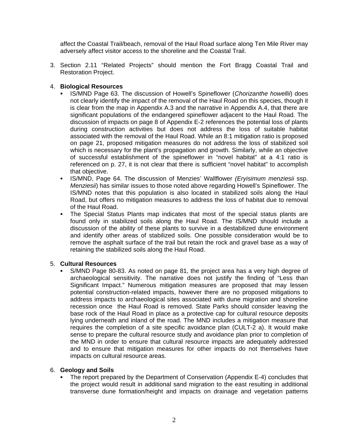affect the Coastal Trail/beach, removal of the Haul Road surface along Ten Mile River may adversely affect visitor access to the shoreline and the Coastal Trail.

3. Section 2.11 "Related Projects" should mention the Fort Bragg Coastal Trail and Restoration Project.

# 4. **Biological Resources**

- IS/MND Page 63. The discussion of Howell's Spineflower (*Chorizanthe howellii*) does not clearly identify the impact of the removal of the Haul Road on this species, though it is clear from the map in Appendix A.3 and the narrative in Appendix A.4, that there are significant populations of the endangered spineflower adjacent to the Haul Road. The discussion of impacts on page 8 of Appendix E-2 references the potential loss of plants during construction activities but does not address the loss of suitable habitat associated with the removal of the Haul Road. While an 8:1 mitigation ratio is proposed on page 21, proposed mitigation measures do not address the loss of stabilized soil which is necessary for the plant's propagation and growth. Similarly, while an objective of successful establishment of the spineflower in "novel habitat" at a 4:1 ratio is referenced on p. 27, it is not clear that there is sufficient "novel habitat" to accomplish that objective.
- IS/MND, Page 64. The discussion of Menzies' Wallflower *(Eryisimum menziesii* ssp. *Menziesii*) has similar issues to those noted above regarding Howell's Spineflower. The IS/MND notes that this population is also located in stabilized soils along the Haul Road, but offers no mitigation measures to address the loss of habitat due to removal of the Haul Road.
- The Special Status Plants map indicates that most of the special status plants are found only in stabilized soils along the Haul Road. The IS/MND should include a discussion of the ability of these plants to survive in a destabilized dune environment and identify other areas of stabilized soils. One possible consideration would be to remove the asphalt surface of the trail but retain the rock and gravel base as a way of retaining the stabilized soils along the Haul Road.

# 5. **Cultural Resources**

 S/MND Page 80-83. As noted on page 81, the project area has a very high degree of archaeological sensitivity. The narrative does not justify the finding of "Less than Significant Impact." Numerous mitigation measures are proposed that may lessen potential construction-related impacts, however there are no proposed mitigations to address impacts to archaeological sites associated with dune migration and shoreline recession once the Haul Road is removed. State Parks should consider leaving the base rock of the Haul Road in place as a protective cap for cultural resource deposits lying underneath and inland of the road. The MND includes a mitigation measure that requires the completion of a site specific avoidance plan (CULT-2 a). It would make sense to prepare the cultural resource study and avoidance plan prior to completion of the MND in order to ensure that cultural resource impacts are adequately addressed and to ensure that mitigation measures for other impacts do not themselves have impacts on cultural resource areas.

## 6. **Geology and Soils**

 The report prepared by the Department of Conservation (Appendix E-4) concludes that the project would result in additional sand migration to the east resulting in additional transverse dune formation/height and impacts on drainage and vegetation patterns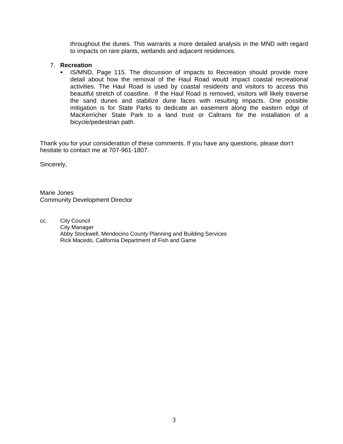throughout the dunes. This warrants a more detailed analysis in the MND with regard to impacts on rare plants, wetlands and adjacent residences.

## 7. **Recreation**

IS/MND, Page 115. The discussion of impacts to Recreation should provide more detail about how the removal of the Haul Road would impact coastal recreational activities. The Haul Road is used by coastal residents and visitors to access this beautiful stretch of coastline. If the Haul Road is removed, visitors will likely traverse the sand dunes and stabilize dune faces with resulting impacts. One possible mitigation is for State Parks to dedicate an easement along the eastern edge of MacKerricher State Park to a land trust or Caltrans for the installation of a bicycle/pedestrian path.

Thank you for your consideration of these comments. If you have any questions, please don't hesitate to contact me at 707-961-1807.

Sincerely,

Marie Jones Community Development Director

cc. City Council City Manager Abby Stockwell, Mendocino County Planning and Building Services Rick Macedo, California Department of Fish and Game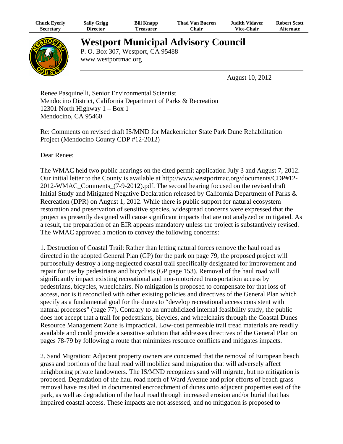| Chuck Eyerly | <b>Sally Grigg</b> | <b>Bill Knapp</b> | <b>Thad Van Bueren</b> | <b>Judith Vidaver</b> | <b>Robert Scott</b> |
|--------------|--------------------|-------------------|------------------------|-----------------------|---------------------|
| Secretarv    | <b>Director</b>    | <b>l'reasurer</b> | ⊂hair                  | <b>Vice-Chair</b>     | Alternate           |



# **Westport Municipal Advisory Council**

P. O. Box 307, Westport, CA 95488 www.westportmac.org

August 10, 2012

Renee Pasquinelli, Senior Environmental Scientist Mendocino District, California Department of Parks & Recreation 12301 North Highway 1 – Box 1 Mendocino, CA 95460

Re: Comments on revised draft IS/MND for Mackerricher State Park Dune Rehabilitation Project (Mendocino County CDP #12-2012)

Dear Renee:

The WMAC held two public hearings on the cited permit application July 3 and August 7, 2012. Our initial letter to the County is available at http://www.westportmac.org/documents/CDP#12- 2012-WMAC\_Comments\_(7-9-2012).pdf. The second hearing focused on the revised draft Initial Study and Mitigated Negative Declaration released by California Department of Parks & Recreation (DPR) on August 1, 2012. While there is public support for natural ecosystem restoration and preservation of sensitive species, widespread concerns were expressed that the project as presently designed will cause significant impacts that are not analyzed or mitigated. As a result, the preparation of an EIR appears mandatory unless the project is substantively revised. The WMAC approved a motion to convey the following concerns:

1. Destruction of Coastal Trail: Rather than letting natural forces remove the haul road as directed in the adopted General Plan (GP) for the park on page 79, the proposed project will purposefully destroy a long-neglected coastal trail specifically designated for improvement and repair for use by pedestrians and bicyclists (GP page 153). Removal of the haul road will significantly impact existing recreational and non-motorized transportation access by pedestrians, bicycles, wheelchairs. No mitigation is proposed to compensate for that loss of access, nor is it reconciled with other existing policies and directives of the General Plan which specify as a fundamental goal for the dunes to "develop recreational access consistent with natural processes" (page 77). Contrary to an unpublicized internal feasibility study, the public does not accept that a trail for pedestrians, bicycles, and wheelchairs through the Coastal Dunes Resource Management Zone is impractical. Low-cost permeable trail tread materials are readily available and could provide a sensitive solution that addresses directives of the General Plan on pages 78-79 by following a route that minimizes resource conflicts and mitigates impacts.

2. Sand Migration: Adjacent property owners are concerned that the removal of European beach grass and portions of the haul road will mobilize sand migration that will adversely affect neighboring private landowners. The IS/MND recognizes sand will migrate, but no mitigation is proposed. Degradation of the haul road north of Ward Avenue and prior efforts of beach grass removal have resulted in documented encroachment of dunes onto adjacent properties east of the park, as well as degradation of the haul road through increased erosion and/or burial that has impaired coastal access. These impacts are not assessed, and no mitigation is proposed to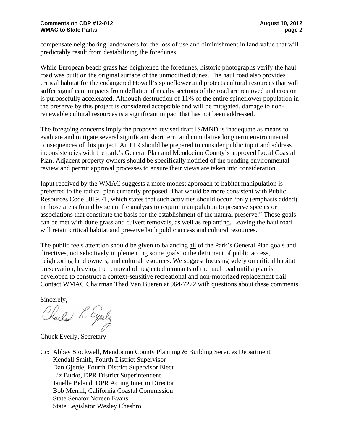compensate neighboring landowners for the loss of use and diminishment in land value that will predictably result from destabilizing the foredunes.

While European beach grass has heightened the foredunes, historic photographs verify the haul road was built on the original surface of the unmodified dunes. The haul road also provides critical habitat for the endangered Howell's spineflower and protects cultural resources that will suffer significant impacts from deflation if nearby sections of the road are removed and erosion is purposefully accelerated. Although destruction of 11% of the entire spineflower population in the preserve by this project is considered acceptable and will be mitigated, damage to nonrenewable cultural resources is a significant impact that has not been addressed.

The foregoing concerns imply the proposed revised draft IS/MND is inadequate as means to evaluate and mitigate several significant short term and cumulative long term environmental consequences of this project. An EIR should be prepared to consider public input and address inconsistencies with the park's General Plan and Mendocino County's approved Local Coastal Plan. Adjacent property owners should be specifically notified of the pending environmental review and permit approval processes to ensure their views are taken into consideration.

Input received by the WMAC suggests a more modest approach to habitat manipulation is preferred to the radical plan currently proposed. That would be more consistent with Public Resources Code 5019.71, which states that such activities should occur "only (emphasis added) in those areas found by scientific analysis to require manipulation to preserve species or associations that constitute the basis for the establishment of the natural preserve." Those goals can be met with dune grass and culvert removals, as well as replanting. Leaving the haul road will retain critical habitat and preserve both public access and cultural resources.

The public feels attention should be given to balancing all of the Park's General Plan goals and directives, not selectively implementing some goals to the detriment of public access, neighboring land owners, and cultural resources. We suggest focusing solely on critical habitat preservation, leaving the removal of neglected remnants of the haul road until a plan is developed to construct a context-sensitive recreational and non-motorized replacement trail. Contact WMAC Chairman Thad Van Bueren at 964-7272 with questions about these comments.

Sincerely,<br>Clarled L. Eyely

Chuck Eyerly, Secretary

Cc: Abbey Stockwell, Mendocino County Planning & Building Services Department Kendall Smith, Fourth District Supervisor Dan Gjerde, Fourth District Supervisor Elect Liz Burko, DPR District Superintendent Janelle Beland, DPR Acting Interim Director Bob Merrill, California Coastal Commission State Senator Noreen Evans State Legislator Wesley Chesbro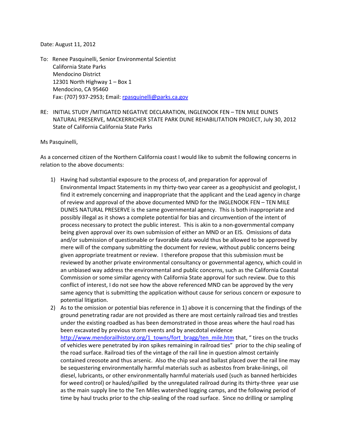Date: August 11, 2012

- To: Renee Pasquinelli, Senior Environmental Scientist California State Parks Mendocino District 12301 North Highway 1 – Box 1 Mendocino, CA 95460 Fax: (707) 937‐2953; Email: rpasquinelli@parks.ca.gov
- RE: INITIAL STUDY /MITIGATED NEGATIVE DECLARATION, INGLENOOK FEN TEN MILE DUNES NATURAL PRESERVE, MACKERRICHER STATE PARK DUNE REHABILITATION PROJECT, July 30, 2012 State of California California State Parks

Ms Pasquinelli,

As a concerned citizen of the Northern California coast I would like to submit the following concerns in relation to the above documents:

- 1) Having had substantial exposure to the process of, and preparation for approval of Environmental Impact Statements in my thirty‐two year career as a geophysicist and geologist, I find it extremely concerning and inappropriate that the applicant and the Lead agency in charge of review and approval of the above documented MND for the INGLENOOK FEN – TEN MILE DUNES NATURAL PRESERVE is the same governmental agency. This is both inappropriate and possibly illegal as it shows a complete potential for bias and circumvention of the intent of process necessary to protect the public interest. This is akin to a non‐governmental company being given approval over its own submission of either an MND or an EIS. Omissions of data and/or submission of questionable or favorable data would thus be allowed to be approved by mere will of the company submitting the document for review, without public concerns being given appropriate treatment or review. I therefore propose that this submission must be reviewed by another private environmental consultancy or governmental agency, which could in an unbiased way address the environmental and public concerns, such as the California Coastal Commission or some similar agency with California State approval for such review. Due to this conflict of interest, I do not see how the above referenced MND can be approved by the very same agency that is submitting the application without cause for serious concern or exposure to potential litigation.
- 2) As to the omission or potential bias reference in 1) above it is concerning that the findings of the ground penetrating radar are not provided as there are most certainly railroad ties and trestles under the existing roadbed as has been demonstrated in those areas where the haul road has been excavated by previous storm events and by anecdotal evidence http://www.mendorailhistory.org/1\_towns/fort\_bragg/ten\_mile.htm that, " tires on the trucks of vehicles were penetrated by iron spikes remaining in railroad ties" prior to the chip sealing of the road surface. Railroad ties of the vintage of the rail line in question almost certainly contained creosote and thus arsenic. Also the chip seal and ballast placed over the rail line may be sequestering environmentally harmful materials such as asbestos from brake‐linings, oil diesel, lubricants, or other environmentally harmful materials used (such as banned herbicides for weed control) or hauled/spilled by the unregulated railroad during its thirty-three year use as the main supply line to the Ten Miles watershed logging camps, and the following period of time by haul trucks prior to the chip‐sealing of the road surface. Since no drilling or sampling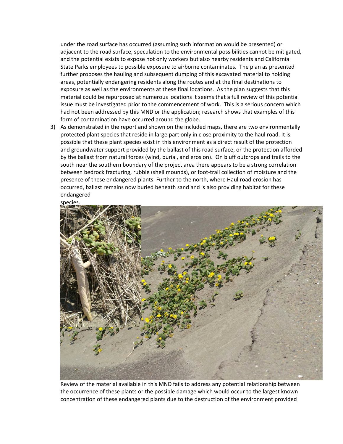under the road surface has occurred (assuming such information would be presented) or adjacent to the road surface, speculation to the environmental possibilities cannot be mitigated, and the potential exists to expose not only workers but also nearby residents and California State Parks employees to possible exposure to airborne contaminates. The plan as presented further proposes the hauling and subsequent dumping of this excavated material to holding areas, potentially endangering residents along the routes and at the final destinations to exposure as well as the environments at these final locations. As the plan suggests that this material could be repurposed at numerous locations it seems that a full review of this potential issue must be investigated prior to the commencement of work. This is a serious concern which had not been addressed by this MND or the application; research shows that examples of this form of contamination have occurred around the globe.

3) As demonstrated in the report and shown on the included maps, there are two environmentally protected plant species that reside in large part only in close proximity to the haul road. It is possible that these plant species exist in this environment as a direct result of the protection and groundwater support provided by the ballast of this road surface, or the protection afforded by the ballast from natural forces (wind, burial, and erosion). On bluff outcrops and trails to the south near the southern boundary of the project area there appears to be a strong correlation between bedrock fracturing, rubble (shell mounds), or foot‐trail collection of moisture and the presence of these endangered plants. Further to the north, where Haul road erosion has occurred, ballast remains now buried beneath sand and is also providing habitat for these endangered

species.



Review of the material available in this MND fails to address any potential relationship between the occurrence of these plants or the possible damage which would occur to the largest known concentration of these endangered plants due to the destruction of the environment provided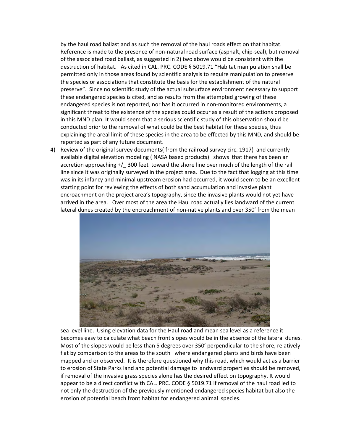by the haul road ballast and as such the removal of the haul roads effect on that habitat. Reference is made to the presence of non-natural road surface (asphalt, chip-seal), but removal of the associated road ballast, as suggested in 2) two above would be consistent with the destruction of habitat. As cited in CAL. PRC. CODE § 5019.71 "Habitat manipulation shall be permitted only in those areas found by scientific analysis to require manipulation to preserve the species or associations that constitute the basis for the establishment of the natural preserve". Since no scientific study of the actual subsurface environment necessary to support these endangered species is cited, and as results from the attempted growing of these endangered species is not reported, nor has it occurred in non-monitored environments, a significant threat to the existence of the species could occur as a result of the actions proposed in this MND plan. It would seem that a serious scientific study of this observation should be conducted prior to the removal of what could be the best habitat for these species, thus explaining the areal limit of these species in the area to be effected by this MND, and should be reported as part of any future document.

4) Review of the original survey documents( from the railroad survey circ. 1917) and currently available digital elevation modeling (NASA based products) shows that there has been an accretion approaching +/ 300 feet toward the shore line over much of the length of the rail line since it was originally surveyed in the project area. Due to the fact that logging at this time was in its infancy and minimal upstream erosion had occurred, it would seem to be an excellent starting point for reviewing the effects of both sand accumulation and invasive plant encroachment on the project area's topography, since the invasive plants would not yet have arrived in the area. Over most of the area the Haul road actually lies landward of the current lateral dunes created by the encroachment of non-native plants and over 350' from the mean



sea level line. Using elevation data for the Haul road and mean sea level as a reference it becomes easy to calculate what beach front slopes would be in the absence of the lateral dunes. Most of the slopes would be less than 5 degrees over 350' perpendicular to the shore, relatively flat by comparison to the areas to the south where endangered plants and birds have been mapped and or observed. It is therefore questioned why this road, which would act as a barrier to erosion of State Parks land and potential damage to landward properties should be removed, if removal of the invasive grass species alone has the desired effect on topography. It would appear to be a direct conflict with CAL. PRC. CODE § 5019.71 if removal of the haul road led to not only the destruction of the previously mentioned endangered species habitat but also the erosion of potential beach front habitat for endangered animal species.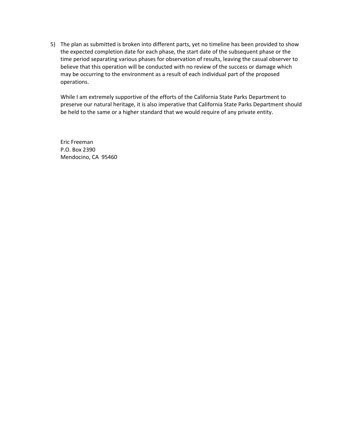5) The plan as submitted is broken into different parts, yet no timeline has been provided to show the expected completion date for each phase, the start date of the subsequent phase or the time period separating various phases for observation of results, leaving the casual observer to believe that this operation will be conducted with no review of the success or damage which may be occurring to the environment as a result of each individual part of the proposed operations.

While I am extremely supportive of the efforts of the California State Parks Department to preserve our natural heritage, it is also imperative that California State Parks Department should be held to the same or a higher standard that we would require of any private entity.

Eric Freeman P.O. Box 2390 Mendocino, CA 95460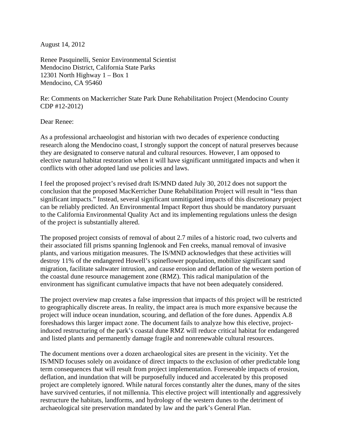August 14, 2012

Renee Pasquinelli, Senior Environmental Scientist Mendocino District, California State Parks 12301 North Highway 1 – Box 1 Mendocino, CA 95460

Re: Comments on Mackerricher State Park Dune Rehabilitation Project (Mendocino County CDP #12-2012)

Dear Renee:

As a professional archaeologist and historian with two decades of experience conducting research along the Mendocino coast, I strongly support the concept of natural preserves because they are designated to conserve natural and cultural resources. However, I am opposed to elective natural habitat restoration when it will have significant unmitigated impacts and when it conflicts with other adopted land use policies and laws.

I feel the proposed project's revised draft IS/MND dated July 30, 2012 does not support the conclusion that the proposed MacKerricher Dune Rehabilitation Project will result in "less than significant impacts." Instead, several significant unmitigated impacts of this discretionary project can be reliably predicted. An Environmental Impact Report thus should be mandatory pursuant to the California Environmental Quality Act and its implementing regulations unless the design of the project is substantially altered.

The proposed project consists of removal of about 2.7 miles of a historic road, two culverts and their associated fill prisms spanning Inglenook and Fen creeks, manual removal of invasive plants, and various mitigation measures. The IS/MND acknowledges that these activities will destroy 11% of the endangered Howell's spineflower population, mobilize significant sand migration, facilitate saltwater intrusion, and cause erosion and deflation of the western portion of the coastal dune resource management zone (RMZ). This radical manipulation of the environment has significant cumulative impacts that have not been adequately considered.

The project overview map creates a false impression that impacts of this project will be restricted to geographically discrete areas. In reality, the impact area is much more expansive because the project will induce ocean inundation, scouring, and deflation of the fore dunes. Appendix A.8 foreshadows this larger impact zone. The document fails to analyze how this elective, projectinduced restructuring of the park's coastal dune RMZ will reduce critical habitat for endangered and listed plants and permanently damage fragile and nonrenewable cultural resources.

The document mentions over a dozen archaeological sites are present in the vicinity. Yet the IS/MND focuses solely on avoidance of direct impacts to the exclusion of other predictable long term consequences that will result from project implementation. Foreseeable impacts of erosion, deflation, and inundation that will be purposefully induced and accelerated by this proposed project are completely ignored. While natural forces constantly alter the dunes, many of the sites have survived centuries, if not millennia. This elective project will intentionally and aggressively restructure the habitats, landforms, and hydrology of the western dunes to the detriment of archaeological site preservation mandated by law and the park's General Plan.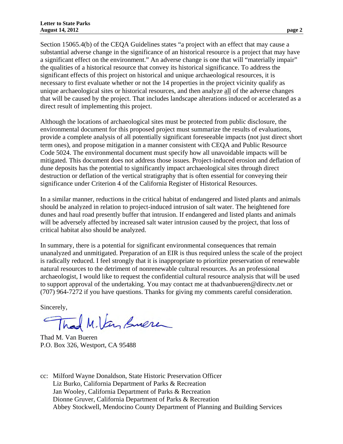Section 15065.4(b) of the CEQA Guidelines states "a project with an effect that may cause a substantial adverse change in the significance of an historical resource is a project that may have a significant effect on the environment." An adverse change is one that will "materially impair" the qualities of a historical resource that convey its historical significance. To address the significant effects of this project on historical and unique archaeological resources, it is necessary to first evaluate whether or not the 14 properties in the project vicinity qualify as unique archaeological sites or historical resources, and then analyze all of the adverse changes that will be caused by the project. That includes landscape alterations induced or accelerated as a direct result of implementing this project.

Although the locations of archaeological sites must be protected from public disclosure, the environmental document for this proposed project must summarize the results of evaluations, provide a complete analysis of all potentially significant foreseeable impacts (not just direct short term ones), and propose mitigation in a manner consistent with CEQA and Public Resource Code 5024. The environmental document must specify how all unavoidable impacts will be mitigated. This document does not address those issues. Project-induced erosion and deflation of dune deposits has the potential to significantly impact archaeological sites through direct destruction or deflation of the vertical stratigraphy that is often essential for conveying their significance under Criterion 4 of the California Register of Historical Resources.

In a similar manner, reductions in the critical habitat of endangered and listed plants and animals should be analyzed in relation to project-induced intrusion of salt water. The heightened fore dunes and haul road presently buffer that intrusion. If endangered and listed plants and animals will be adversely affected by increased salt water intrusion caused by the project, that loss of critical habitat also should be analyzed.

In summary, there is a potential for significant environmental consequences that remain unanalyzed and unmitigated. Preparation of an EIR is thus required unless the scale of the project is radically reduced. I feel strongly that it is inappropriate to prioritize preservation of renewable natural resources to the detriment of nonrenewable cultural resources. As an professional archaeologist, I would like to request the confidential cultural resource analysis that will be used to support approval of the undertaking. You may contact me at thadvanbueren@directv.net or (707) 964-7272 if you have questions. Thanks for giving my comments careful consideration.

Sincerely,

Thad M.Van Suere

Thad M. Van Bueren P.O. Box 326, Westport, CA 95488

cc: Milford Wayne Donaldson, State Historic Preservation Officer Liz Burko, California Department of Parks & Recreation Jan Wooley, California Department of Parks & Recreation Dionne Gruver, California Department of Parks & Recreation Abbey Stockwell, Mendocino County Department of Planning and Building Services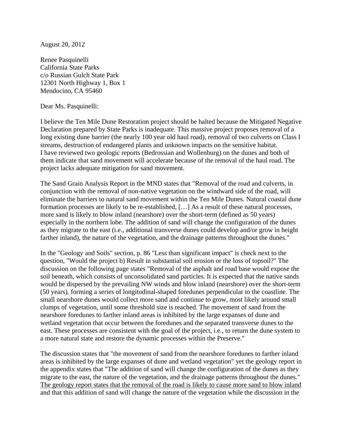August 20, 2012

Renee Pasquinelli California State Parks c/o Russian Gulch State Park 12301 North Highway 1, Box 1 Mendocino, CA 95460

Dear Ms. Pasquinelli:

I believe the Ten Mile Dune Restoration project should be halted because the Mitigated Negative Declaration prepared by State Parks is inadequate. This massive project proposes removal of a long existing dune barrier (the nearly 100 year old haul road), removal of two culverts on Class I streams, destruction of endangered plants and unknown impacts on the sensitive habitat. I have reviewed two geologic reports (Bedrossian and Wollenburg) on the dunes and both of them indicate that sand movement will accelerate because of the removal of the haul road. The project lacks adequate mitigation for sand movement.

The Sand Grain Analysis Report in the MND states that "Removal of the road and culverts, in conjunction with the removal of non-native vegetation on the windward side of the road, will eliminate the barriers to natural sand movement within the Ten Mile Dunes. Natural coastal dune formation processes are likely to be re-established, […] As a result of these natural processes, more sand is likely to blow inland (nearshore) over the short-term (defined as 50 years) especially in the northern lobe. The addition of sand will change the configuration of the dunes as they migrate to the east (i.e., additional transverse dunes could develop and/or grow in height farther inland), the nature of the vegetation, and the drainage patterns throughout the dunes."

In the "Geology and Soils" section, p. 86 "Less than significant impact" is check next to the question, "Would the project b) Result in substantial soil erosion or the loss of topsoil?" The discussion on the following page states "Removal of the asphalt and road base would expose the soil beneath, which consists of unconsolidated sand particles. It is expected that the native sands would be dispersed by the prevailing NW winds and blow inland (nearshore) over the short-term (50 years), forming a series of longitudinal-shaped foredunes perpendicular to the coastline. The small nearshore dunes would collect more sand and continue to grow, most likely around small clumps of vegetation, until some threshold size is reached. The movement of sand from the nearshore foredunes to farther inland areas is inhibited by the large expanses of dune and wetland vegetation that occur between the foredunes and the separated transverse dunes to the east. These processes are consistent with the goal of the project, i.e., to return the dune system to a more natural state and restore the dynamic processes within the Preserve."

The discussion states that "the movement of sand from the nearshore foredunes to farther inland areas is inhibited by the large expanses of dune and wetland vegetation" yet the geology report in the appendix states that "The addition of sand will change the configuration of the dunes as they migrate to the east, the nature of the vegetation, and the drainage patterns throughout the dunes." The geology report states that the removal of the road is likely to cause more sand to blow inland and that this addition of sand will change the nature of the vegetation while the discussion in the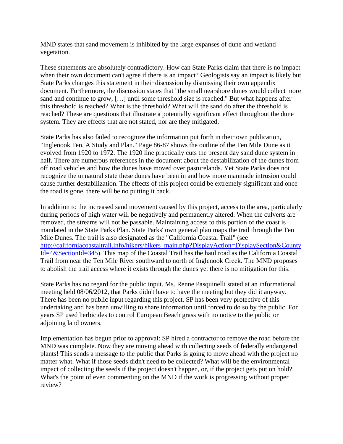MND states that sand movement is inhibited by the large expanses of dune and wetland vegetation.

These statements are absolutely contradictory. How can State Parks claim that there is no impact when their own document can't agree if there is an impact? Geologists say an impact is likely but State Parks changes this statement in their discussion by dismissing their own appendix document. Furthermore, the discussion states that "the small nearshore dunes would collect more sand and continue to grow, […] until some threshold size is reached." But what happens after this threshold is reached? What is the threshold? What will the sand do after the threshold is reached? These are questions that illustrate a potentially significant effect throughout the dune system. They are effects that are not stated, nor are they mitigated.

State Parks has also failed to recognize the information put forth in their own publication, "Inglenook Fen, A Study and Plan." Page 86-87 shows the outline of the Ten Mile Dune as it evolved from 1920 to 1972. The 1920 line practically cuts the present day sand dune system in half. There are numerous references in the document about the destabilization of the dunes from off road vehicles and how the dunes have moved over pasturelands. Yet State Parks does not recognize the unnatural state these dunes have been in and how more manmade intrusion could cause further destabilization. The effects of this project could be extremely significant and once the road is gone, there will be no putting it back.

In addition to the increased sand movement caused by this project, access to the area, particularly during periods of high water will be negatively and permanently altered. When the culverts are removed, the streams will not be passable. Maintaining access to this portion of the coast is mandated in the State Parks Plan. State Parks' own general plan maps the trail through the Ten Mile Dunes. The trail is also designated as the "California Coastal Trail" (see http://californiacoastaltrail.info/hikers/hikers\_main.php?DisplayAction=DisplaySection&County Id=4&SectionId=345). This map of the Coastal Trail has the haul road as the California Coastal Trail from near the Ten Mile River southward to north of Inglenook Creek. The MND proposes to abolish the trail access where it exists through the dunes yet there is no mitigation for this.

State Parks has no regard for the public input. Ms. Renne Pasquinelli stated at an informational meeting held 08/06/2012, that Parks didn't have to have the meeting but they did it anyway. There has been no public input regarding this project. SP has been very protective of this undertaking and has been unwilling to share information until forced to do so by the public. For years SP used herbicides to control European Beach grass with no notice to the public or adjoining land owners.

Implementation has begun prior to approval: SP hired a contractor to remove the road before the MND was complete. Now they are moving ahead with collecting seeds of federally endangered plants! This sends a message to the public that Parks is going to move ahead with the project no matter what. What if those seeds didn't need to be collected? What will be the environmental impact of collecting the seeds if the project doesn't happen, or, if the project gets put on hold? What's the point of even commenting on the MND if the work is progressing without proper review?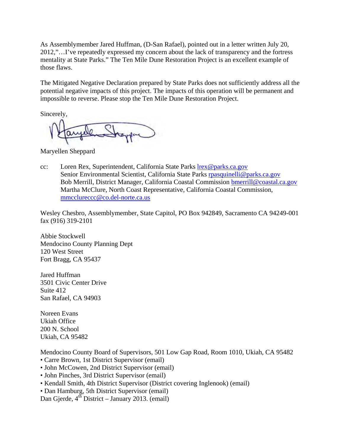As Assemblymember Jared Huffman, (D-San Rafael), pointed out in a letter written July 20, 2012,"…I've repeatedly expressed my concern about the lack of transparency and the fortress mentality at State Parks." The Ten Mile Dune Restoration Project is an excellent example of those flaws.

The Mitigated Negative Declaration prepared by State Parks does not sufficiently address all the potential negative impacts of this project. The impacts of this operation will be permanent and impossible to reverse. Please stop the Ten Mile Dune Restoration Project.

Sincerely,

Maryellen Sheppard

cc: Loren Rex, Superintendent, California State Parks lrex@parks.ca.gov Senior Environmental Scientist, California State Parks rpasquinelli@parks.ca.gov Bob Merrill, District Manager, California Coastal Commission bmerrill@coastal.ca.gov Martha McClure, North Coast Representative, California Coastal Commission, mmcclureccc@co.del-norte.ca.us

Wesley Chesbro, Assemblymember, State Capitol, PO Box 942849, Sacramento CA 94249-001 fax (916) 319-2101

Abbie Stockwell Mendocino County Planning Dept 120 West Street Fort Bragg, CA 95437

Jared Huffman 3501 Civic Center Drive Suite 412 San Rafael, CA 94903

Noreen Evans Ukiah Office 200 N. School Ukiah, CA 95482

Mendocino County Board of Supervisors, 501 Low Gap Road, Room 1010, Ukiah, CA 95482

- Carre Brown, 1st District Supervisor (email)
- John McCowen, 2nd District Supervisor (email)
- John Pinches, 3rd District Supervisor (email)
- Kendall Smith, 4th District Supervisor (District covering Inglenook) (email)

• Dan Hamburg, 5th District Supervisor (email)

Dan Gjerde,  $4^{th}$  District – January 2013. (email)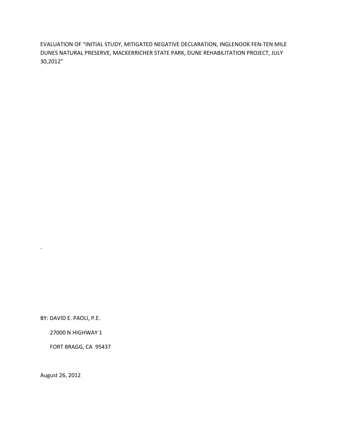EVALUATION OF "INITIAL STUDY, MITIGATED NEGATIVE DECLARATION, INGLENOOK FEN‐TEN MILE DUNES NATURAL PRESERVE, MACKERRICHER STATE PARK, DUNE REHABILITATION PROJECT, JULY 30,2012"

BY: DAVID E. PAOLI, P.E.

.

27000 N HIGHWAY 1

FORT BRAGG, CA 95437

August 26, 2012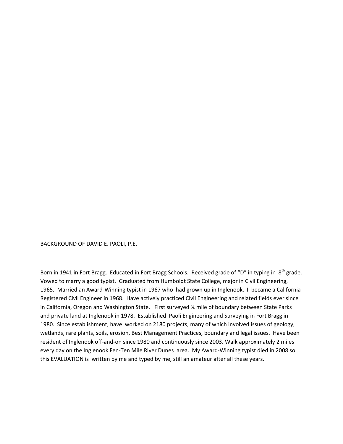BACKGROUND OF DAVID E. PAOLI, P.E.

Born in 1941 in Fort Bragg. Educated in Fort Bragg Schools. Received grade of "D" in typing in 8<sup>th</sup> grade. Vowed to marry a good typist. Graduated from Humboldt State College, major in Civil Engineering, 1965. Married an Award‐Winning typist in 1967 who had grown up in Inglenook. I became a California Registered Civil Engineer in 1968. Have actively practiced Civil Engineering and related fields ever since in California, Oregon and Washington State. First surveyed ¾ mile of boundary between State Parks and private land at Inglenook in 1978. Established Paoli Engineering and Surveying in Fort Bragg in 1980. Since establishment, have worked on 2180 projects, many of which involved issues of geology, wetlands, rare plants, soils, erosion, Best Management Practices, boundary and legal issues. Have been resident of Inglenook off-and-on since 1980 and continuously since 2003. Walk approximately 2 miles every day on the Inglenook Fen‐Ten Mile River Dunes area. My Award‐Winning typist died in 2008 so this EVALUATION is written by me and typed by me, still an amateur after all these years.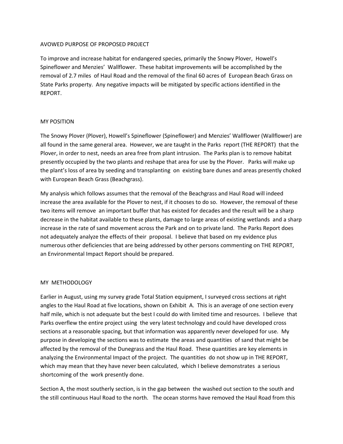## AVOWED PURPOSE OF PROPOSED PROJECT

To improve and increase habitat for endangered species, primarily the Snowy Plover, Howell's Spineflower and Menzies' Wallflower. These habitat improvements will be accomplished by the removal of 2.7 miles of Haul Road and the removal of the final 60 acres of European Beach Grass on State Parks property. Any negative impacts will be mitigated by specific actions identified in the REPORT.

### MY POSITION

The Snowy Plover (Plover), Howell's Spineflower (Spineflower) and Menzies' Wallflower (Wallflower) are all found in the same general area. However, we are taught in the Parks report (THE REPORT) that the Plover, in order to nest, needs an area free from plant intrusion. The Parks plan is to remove habitat presently occupied by the two plants and reshape that area for use by the Plover. Parks will make up the plant's loss of area by seeding and transplanting on existing bare dunes and areas presently choked with European Beach Grass (Beachgrass).

My analysis which follows assumes that the removal of the Beachgrass and Haul Road will indeed increase the area available for the Plover to nest, if it chooses to do so. However, the removal of these two items will remove an important buffer that has existed for decades and the result will be a sharp decrease in the habitat available to these plants, damage to large areas of existing wetlands and a sharp increase in the rate of sand movement across the Park and on to private land. The Parks Report does not adequately analyze the effects of their proposal. I believe that based on my evidence plus numerous other deficiencies that are being addressed by other persons commenting on THE REPORT, an Environmental Impact Report should be prepared.

### MY METHODOLOGY

Earlier in August, using my survey grade Total Station equipment, I surveyed cross sections at right angles to the Haul Road at five locations, shown on Exhibit A. This is an average of one section every half mile, which is not adequate but the best I could do with limited time and resources. I believe that Parks overflew the entire project using the very latest technology and could have developed cross sections at a reasonable spacing, but that information was apparently never developed for use. My purpose in developing the sections was to estimate the areas and quantities of sand that might be affected by the removal of the Dunegrass and the Haul Road. These quantities are key elements in analyzing the Environmental Impact of the project. The quantities do not show up in THE REPORT, which may mean that they have never been calculated, which I believe demonstrates a serious shortcoming of the work presently done.

Section A, the most southerly section, is in the gap between the washed out section to the south and the still continuous Haul Road to the north. The ocean storms have removed the Haul Road from this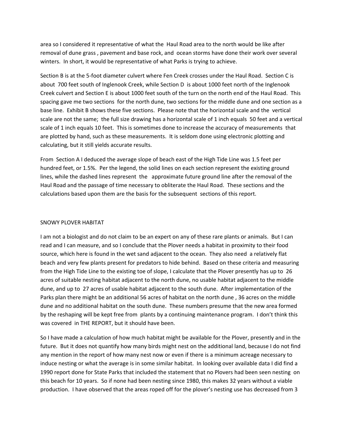area so I considered it representative of what the Haul Road area to the north would be like after removal of dune grass , pavement and base rock, and ocean storms have done their work over several winters. In short, it would be representative of what Parks is trying to achieve.

Section B is at the 5‐foot diameter culvert where Fen Creek crosses under the Haul Road. Section C is about 700 feet south of Inglenook Creek, while Section D is about 1000 feet north of the Inglenook Creek culvert and Section E is about 1000 feet south of the turn on the north end of the Haul Road. This spacing gave me two sections for the north dune, two sections for the middle dune and one section as a base line. Exhibit B shows these five sections. Please note that the horizontal scale and the vertical scale are not the same; the full size drawing has a horizontal scale of 1 inch equals 50 feet and a vertical scale of 1 inch equals 10 feet. This is sometimes done to increase the accuracy of measurements that are plotted by hand, such as these measurements. It is seldom done using electronic plotting and calculating, but it still yields accurate results.

From Section A I deduced the average slope of beach east of the High Tide Line was 1.5 feet per hundred feet, or 1.5%. Per the legend, the solid lines on each section represent the existing ground lines, while the dashed lines represent the approximate future ground line after the removal of the Haul Road and the passage of time necessary to obliterate the Haul Road. These sections and the calculations based upon them are the basis for the subsequent sections of this report.

## SNOWY PLOVER HABITAT

I am not a biologist and do not claim to be an expert on any of these rare plants or animals. But I can read and I can measure, and so I conclude that the Plover needs a habitat in proximity to their food source, which here is found in the wet sand adjacent to the ocean. They also need a relatively flat beach and very few plants present for predators to hide behind. Based on these criteria and measuring from the High Tide Line to the existing toe of slope, I calculate that the Plover presently has up to 26 acres of suitable nesting habitat adjacent to the north dune, no usable habitat adjacent to the middle dune, and up to 27 acres of usable habitat adjacent to the south dune. After implementation of the Parks plan there might be an additional 56 acres of habitat on the north dune , 36 acres on the middle dune and no additional habitat on the south dune. These numbers presume that the new area formed by the reshaping will be kept free from plants by a continuing maintenance program. I don't think this was covered in THE REPORT, but it should have been.

So I have made a calculation of how much habitat might be available for the Plover, presently and in the future. But it does not quantify how many birds might nest on the additional land, because I do not find any mention in the report of how many nest now or even if there is a minimum acreage necessary to induce nesting or what the average is in some similar habitat. In looking over available data I did find a 1990 report done for State Parks that included the statement that no Plovers had been seen nesting on this beach for 10 years. So if none had been nesting since 1980, this makes 32 years without a viable production. I have observed that the areas roped off for the plover's nesting use has decreased from 3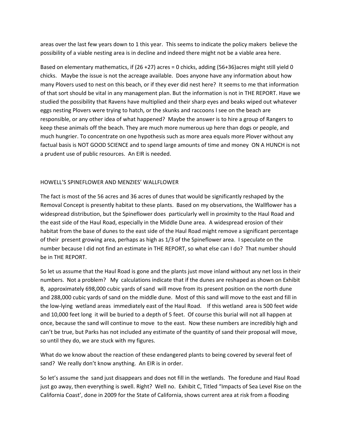areas over the last few years down to 1 this year. This seems to indicate the policy makers believe the possibility of a viable nesting area is in decline and indeed there might not be a viable area here.

Based on elementary mathematics, if (26 +27) acres = 0 chicks, adding (56+36)acres might still yield 0 chicks. Maybe the issue is not the acreage available. Does anyone have any information about how many Plovers used to nest on this beach, or if they ever did nest here? It seems to me that information of that sort should be vital in any management plan. But the information is not in THE REPORT. Have we studied the possibility that Ravens have multiplied and their sharp eyes and beaks wiped out whatever eggs nesting Plovers were trying to hatch, or the skunks and raccoons I see on the beach are responsible, or any other idea of what happened? Maybe the answer is to hire a group of Rangers to keep these animals off the beach. They are much more numerous up here than dogs or people, and much hungrier. To concentrate on one hypothesis such as more area equals more Plover without any factual basis is NOT GOOD SCIENCE and to spend large amounts of time and money ON A HUNCH is not a prudent use of public resources. An EIR is needed.

## HOWELL'S SPINEFLOWER AND MENZIES' WALLFLOWER

The fact is most of the 56 acres and 36 acres of dunes that would be significantly reshaped by the Removal Concept is presently habitat to these plants. Based on my observations, the Wallflower has a widespread distribution, but the Spineflower does particularly well in proximity to the Haul Road and the east side of the Haul Road, especially in the Middle Dune area. A widespread erosion of their habitat from the base of dunes to the east side of the Haul Road might remove a significant percentage of their present growing area, perhaps as high as 1/3 of the Spineflower area. I speculate on the number because I did not find an estimate in THE REPORT, so what else can I do? That number should be in THE REPORT.

So let us assume that the Haul Road is gone and the plants just move inland without any net loss in their numbers. Not a problem? My calculations indicate that if the dunes are reshaped as shown on Exhibit B, approximately 698,000 cubic yards of sand will move from its present position on the north dune and 288,000 cubic yards of sand on the middle dune. Most of this sand will move to the east and fill in the low‐lying wetland areas immediately east of the Haul Road. If this wetland area is 500 feet wide and 10,000 feet long it will be buried to a depth of 5 feet. Of course this burial will not all happen at once, because the sand will continue to move to the east. Now these numbers are incredibly high and can't be true, but Parks has not included any estimate of the quantity of sand their proposal will move, so until they do, we are stuck with my figures.

What do we know about the reaction of these endangered plants to being covered by several feet of sand? We really don't know anything. An EIR is in order.

So let's assume the sand just disappears and does not fill in the wetlands. The foredune and Haul Road just go away, then everything is swell. Right? Well no. Exhibit C, Titled "Impacts of Sea Level Rise on the California Coast', done in 2009 for the State of California, shows current area at risk from a flooding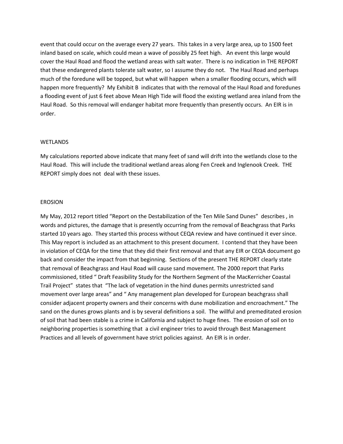event that could occur on the average every 27 years. This takes in a very large area, up to 1500 feet inland based on scale, which could mean a wave of possibly 25 feet high. An event this large would cover the Haul Road and flood the wetland areas with salt water. There is no indication in THE REPORT that these endangered plants tolerate salt water, so I assume they do not. The Haul Road and perhaps much of the foredune will be topped, but what will happen when a smaller flooding occurs, which will happen more frequently? My Exhibit B indicates that with the removal of the Haul Road and foredunes a flooding event of just 6 feet above Mean High Tide will flood the existing wetland area inland from the Haul Road. So this removal will endanger habitat more frequently than presently occurs. An EIR is in order.

### **WETLANDS**

My calculations reported above indicate that many feet of sand will drift into the wetlands close to the Haul Road. This will include the traditional wetland areas along Fen Creek and Inglenook Creek. THE REPORT simply does not deal with these issues.

#### EROSION

My May, 2012 report titled "Report on the Destabilization of the Ten Mile Sand Dunes" describes , in words and pictures, the damage that is presently occurring from the removal of Beachgrass that Parks started 10 years ago. They started this process without CEQA review and have continued it ever since. This May report is included as an attachment to this present document. I contend that they have been in violation of CEQA for the time that they did their first removal and that any EIR or CEQA document go back and consider the impact from that beginning. Sections of the present THE REPORT clearly state that removal of Beachgrass and Haul Road will cause sand movement. The 2000 report that Parks commissioned, titled " Draft Feasibility Study for the Northern Segment of the MacKerricher Coastal Trail Project" states that "The lack of vegetation in the hind dunes permits unrestricted sand movement over large areas" and " Any management plan developed for European beachgrass shall consider adjacent property owners and their concerns with dune mobilization and encroachment." The sand on the dunes grows plants and is by several definitions a soil. The willful and premeditated erosion of soil that had been stable is a crime in California and subject to huge fines. The erosion of soil on to neighboring properties is something that a civil engineer tries to avoid through Best Management Practices and all levels of government have strict policies against. An EIR is in order.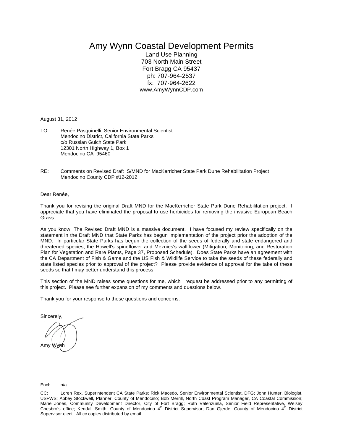# Amy Wynn Coastal Development Permits

Land Use Planning 703 North Main Street Fort Bragg CA 95437 ph: 707-964-2537 fx: 707-964-2622 www.AmyWynnCDP.com

August 31, 2012

- TO: Renée Pasquinelli, Senior Environmental Scientist Mendocino District, California State Parks c/o Russian Gulch State Park 12301 North Highway 1, Box 1 Mendocino CA 95460
- RE: Comments on Revised Draft IS/MND for MacKerricher State Park Dune Rehabilitation Project Mendocino County CDP #12-2012

Dear Renée,

Thank you for revising the original Draft MND for the MacKerricher State Park Dune Rehabilitation project. I appreciate that you have eliminated the proposal to use herbicides for removing the invasive European Beach Grass.

As you know, The Revised Draft MND is a massive document. I have focused my review specifically on the statement in the Draft MND that State Parks has begun implementation of the project prior the adoption of the MND. In particular State Parks has begun the collection of the seeds of federally and state endangered and threatened species, the Howell's spineflower and Meznies's wallflower (Mitigation, Monitoring, and Restoration Plan for Vegetation and Rare Plants, Page 37, Proposed Schedule). Does State Parks have an agreement with the CA Department of Fish & Game and the US Fish & Wildlife Service to take the seeds of these federally and state listed species prior to approval of the project? Please provide evidence of approval for the take of these seeds so that I may better understand this process.

This section of the MND raises some questions for me, which I request be addressed prior to any permitting of this project. Please see further expansion of my comments and questions below.

Thank you for your response to these questions and concerns.

Sincerely, Amy Wyn

#### Encl: n/a

CC: Loren Rex, Superintendent CA State Parks; Rick Macedo, Senior Environmental Scientist, DFG; John Hunter, Biologist, USFWS; Abbey Stockwell, Planner, County of Mendocino; Bob Merrill, North Coast Program Manager, CA Coastal Commission; Marie Jones, Community Development Director, City of Fort Bragg; Ruth Valenzuela, Senior Field Representative, Welsey<br>Chesbro's office; Kendall Smith, County of Mendocino 4<sup>th</sup> District Supervisor; Dan Gjerde, County of Me Supervisor elect. All cc copies distributed by email.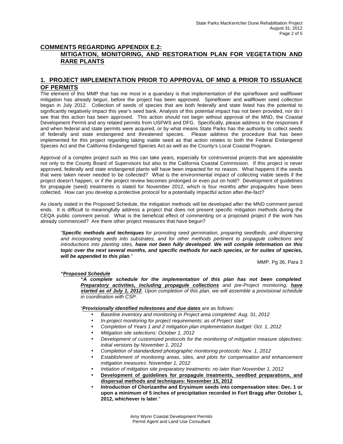## **COMMENTS REGARDING APPENDIX E.2: MITIGATION, MONITORING, AND RESTORATION PLAN FOR VEGETATION AND RARE PLANTS**

## **1. PROJECT IMPLEMENTATION PRIOR TO APPROVAL OF MND & PRIOR TO ISSUANCE OF PERMITS**

The element of this MMP that has me most in a quandary is that implementation of the spineflower and wallflower mitigation has already begun, before the project has been approved. Spineflower and wallflower seed collection began in July 2012. Collection of seeds of species that are both federally and state listed has the potential to significantly negatively impact this year's seed bank. Analysis of this potential impact has not been provided, nor do I see that this action has been approved. This action should not begin without approval of the MND, the Coastal Development Permit and any related permits from USFWS and DFG. Specifically, please address in the responses if and when federal and state permits were acquired, or by what means State Parks has the authority to collect seeds of federally and state endangered and threatened species. Please address the procedure that has been implemented for this project regarding taking viable seed as that action relates to both the Federal Endangered Species Act and the California Endangered Species Act as well as the County's Local Coastal Program.

Approval of a complex project such as this can take years, especially for controversial projects that are appealable not only to the County Board of Supervisors but also to the California Coastal Commission. If this project is never approved, federally and state endangered plants will have been impacted for no reason. What happens if the seeds that were taken never needed to be collected? What is the environmental impact of collecting viable seeds if the project doesn't happen, or if the project review becomes prolonged or even put on hold? Development of guidelines for propagule (seed) treatments is slated for November 2012, which is four months *after* propagules have been collected. How can you develop a protective protocol for a potentially impactful action after-the-fact?

As clearly stated in the Proposed Schedule, the mitigation methods will be developed *after* the MND comment period ends. It is difficult to meaningfully address a project that does not present specific mitigation methods during the CEQA public comment period. What is the beneficial effect of commenting on a proposed project if the work has already commenced? Are there other project measures that have begun?

*"Specific methods and techniques for promoting seed germination, preparing seedbeds, and dispersing and incorporating seeds into substrates, and for other methods pertinent to propagule collections and introductions into planting sites, have not been fully developed. We will compile information on this topic over the next several months, and specific methods for each species, or for suites of species, will be appended to this plan."* 

MMP, Pg 36, Para 3

### *"Proposed Schedule*

*"A complete schedule for the implementation of this plan has not been completed. Preparatory activities, including propagule collections and pre-Project monitoring, have started as of July 1, 2012. Upon completion of this plan, we will assemble a provisional schedule in coordination with CSP.*

*"Provisionally identified milestones and due dates are as follows:*

- *Baseline inventory and monitoring in Project area completed: Aug. 31, 2012*
- *In-project monitoring for project requirements: as of Project start*
- *Completion of Years 1 and 2 mitigation plan implementation budget: Oct. 1, 2012*
- *Mitigation site selections: October 1, 2012*
- *Development of customized protocols for the monitoring of mitigation measure objectives: initial versions by November 1, 2012*
- *Completion of standardized photographic monitoring protocols: Nov. 1, 2012*
- *Establishment of monitoring areas, sites, and plots for compensation and enhancement mitigation measures: November 1, 2012*
- *Initiation of mitigation site preparatory treatments: no later than November 1, 2012*
- **Development of guidelines for propagule treatments, seedbed preparations, and dispersal methods and techniques: November 15, 2012**
- **Introduction of Chorizanthe and Erysimum seeds into compensation sites: Dec. 1 or upon a minimum of 5 inches of precipitation recorded in Fort Bragg after October 1, 2012, whichever is later**."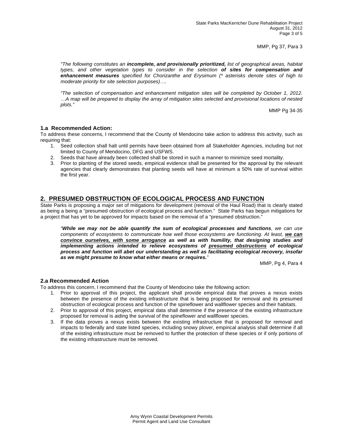MMP, Pg 37, Para 3

*"The following constitutes an incomplete, and provisionally prioritized, list of geographical areas, habitat types, and other vegetation types to consider in the selection of sites for compensation and enhancement measures specified for Chorizanthe and Erysimum (\* asterisks denote sites of high to moderate priority for site selection purposes)….*

*"The selection of compensation and enhancement mitigation sites will be completed by October 1, 2012. …A map will be prepared to display the array of mitigation sites selected and provisional locations of nested plots."* 

MMP Pg 34-35

### **1.a Recommended Action:**

To address these concerns, I recommend that the County of Mendocino take action to address this activity, such as requiring that:

- 1. Seed collection shall halt until permits have been obtained from all Stakeholder Agencies, including but not limited to County of Mendocino, DFG and USFWS.
- 2. Seeds that have already been collected shall be stored in such a manner to minimize seed mortality.
- 3. Prior to planting of the stored seeds, empirical evidence shall be presented for the approval by the relevant agencies that clearly demonstrates that planting seeds will have at minimum a 50% rate of survival within the first year.

### **2. PRESUMED OBSTRUCTION OF ECOLOGICAL PROCESS AND FUNCTION**

State Parks is proposing a major set of mitigations for development (removal of the Haul Road) that is clearly stated as being a being a "presumed obstruction of ecological process and function." State Parks has begun mitigations for a project that has yet to be approved for impacts based on the removal of a "presumed obstruction."

*"While we may not be able quantify the sum of ecological processes and functions, we can use components of ecosystems to communicate how well those ecosystems are functioning. At least, we can convince ourselves, with some arrogance as well as with humility, that designing studies and implementing actions intended to relieve ecosystems of presumed obstructions of ecological process and function will abet our understanding as well as facilitating ecological recovery, insofar as we might presume to know what either means or requires."*

MMP, Pg 4, Para 4

### **2.a Recommended Action**

To address this concern, I recommend that the County of Mendocino take the following action:

- 1. Prior to approval of this project, the applicant shall provide empirical data that proves a nexus exists between the presence of the existing infrastructure that is being proposed for removal and its presumed obstruction of ecological process and function of the spineflower and wallflower species and their habitats.
- 2. Prior to approval of this project, empirical data shall determine if the presence of the existing infrastructure proposed for removal is aiding the survival of the spineflower and wallflower species.
- 3. If the data proves a nexus exists between the existing infrastructure that is proposed for removal and impacts to federally and state listed species, including snowy plover, empirical analysis shall determine if all of the existing infrastructure must be removed to further the protection of these species or if only portions of the existing infrastructure must be removed.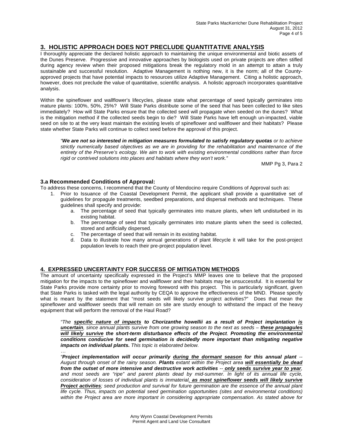## **3. HOLISTIC APPROACH DOES NOT PRECLUDE QUANTITATIVE ANALYSIS**

I thoroughly appreciate the declared holistic approach to maintaining the unique environmental and biotic assets of the Dunes Preserve. Progressive and innovative approaches by biologists used on private projects are often stifled during agency review when their proposed mitigations break the regulatory mold in an attempt to attain a truly sustainable and successful resolution. Adaptive Management is nothing new, it is the norm; all of the Countyapproved projects that have potential impacts to resources utilize Adaptive Management. Citing a holistic approach, however, does not preclude the value of quantitative, scientific analysis. A holistic approach incorporates quantitative analysis.

Within the spineflower and wallflower's lifecycles, please state what percentage of seed typically germinates into mature plants: 100%, 50%, 25%? Will State Parks distribute some of the seed that has been collected to like sites immediately? How will State Parks ensure that the collected seed will propagate when seeded on the dunes? What is the mitigation method if the collected seeds begin to die? Will State Parks have left enough un-impacted, viable seed on site to at the very least maintain the existing levels of spineflower and wallflower and their habitats? Please state whether State Parks will continue to collect seed before the approval of this project.

*"We are not so interested in mitigation measures formulated to satisfy regulatory quotas or to achieve strictly numerically based objectives as we are in providing for the rehabilitation and maintenance of the entirety of the Preserve's ecology. We aim to work with existing environmental conditions rather than force rigid or contrived solutions into places and habitats where they won't work."*

MMP Pg 3, Para 2

### **3.a Recommended Conditions of Approval:**

To address these concerns, I recommend that the County of Mendocino require Conditions of Approval such as:

- 1. Prior to Issuance of the Coastal Development Permit, the applicant shall provide a quantitative set of guidelines for propagule treatments, seedbed preparations, and dispersal methods and techniques. These guidelines shall specify and provide:
	- a. The percentage of seed that typically germinates into mature plants, when left undisturbed in its existing habitat.
	- b. The percentage of seed that typically germinates into mature plants when the seed is collected, stored and artificially dispersed.
	- c. The percentage of seed that will remain in its existing habitat.<br>d. Data to illustrate how many annual generations of plant life
	- Data to illustrate how many annual generations of plant lifecycle it will take for the post-project population levels to reach their pre-project population level.

## **4. EXPRESSED UNCERTAINTY FOR SUCCESS OF MITIGATION METHODS**

The amount of uncertainty specifically expressed in the Project's MMP leaves one to believe that the proposed mitigation for the impacts to the spineflower and wallflower and their habitats may be unsuccessful. It is essential for State Parks provide more certainty prior to moving foreword with this project. This is particularly significant, given that State Parks is tasked with the legal authority by CEQA to approve the effectiveness of the MND. Please specify what is meant by the statement that "most seeds will likely survive project activities?" Does that mean the spineflower and wallflower seeds that will remain on site are sturdy enough to withstand the impact of the heavy equipment that will perform the removal of the Haul Road?

*"The specific nature of impacts to Chorizanthe howellii as a result of Project implantation is*  **uncertain**, since annual plants survive from one growing season to the next as seeds – **these propagules** *will likely survive the short-term disturbance effects of the Project. Promoting the environmental conditions conducive for seed germination is decidedly more important than mitigating negative impacts on individual plants. This topic is elaborated below.*

*… "Project implementation will occur primarily during the dormant season for this annual plant -- August through onset of the rainy season. Plants extant within the Project area will essentially be dead from the outset of more intensive and destructive work activities -- only seeds survive year to year,*  and most seeds are "ripe" and parent plants dead by mid-summer. In light of its annual life cycle, *consideration of losses of individual plants is immaterial, as most spineflower seeds will likely survive Project activities; seed production and survival for future germination are the essence of the annual plant life cycle. Thus, impacts on potential seed germination opportunities (sites and environmental conditions) within the Project area are more important in considering appropriate compensation. As stated above for*